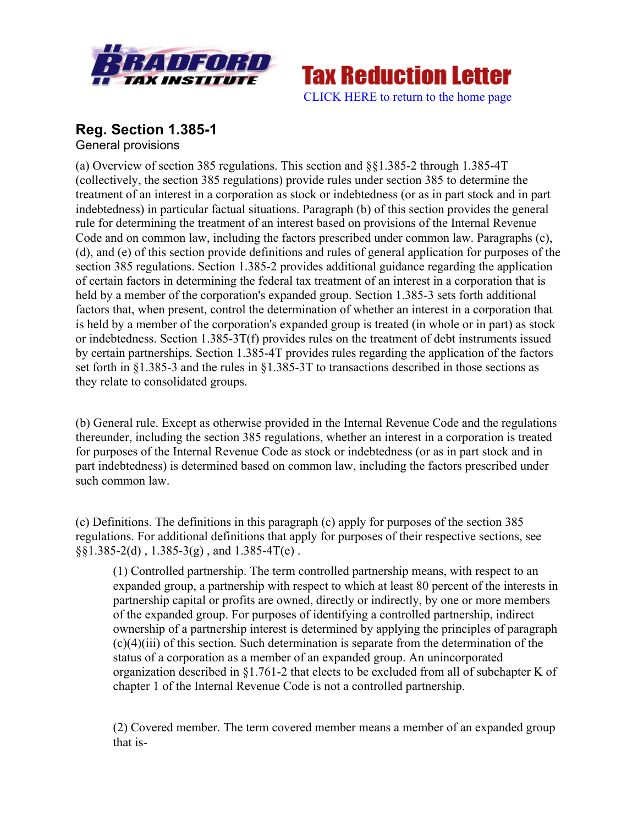



## **Reg. Section 1.385-1** General provisions

(a) Overview of section 385 regulations. This section and §§1.385-2 through 1.385-4T (collectively, the section 385 regulations) provide rules under section 385 to determine the treatment of an interest in a corporation as stock or indebtedness (or as in part stock and in part indebtedness) in particular factual situations. Paragraph (b) of this section provides the general rule for determining the treatment of an interest based on provisions of the Internal Revenue Code and on common law, including the factors prescribed under common law. Paragraphs (c), (d), and (e) of this section provide definitions and rules of general application for purposes of the section 385 regulations. Section 1.385-2 provides additional guidance regarding the application of certain factors in determining the federal tax treatment of an interest in a corporation that is held by a member of the corporation's expanded group. Section 1.385-3 sets forth additional factors that, when present, control the determination of whether an interest in a corporation that is held by a member of the corporation's expanded group is treated (in whole or in part) as stock or indebtedness. Section 1.385-3T(f) provides rules on the treatment of debt instruments issued by certain partnerships. Section 1.385-4T provides rules regarding the application of the factors set forth in §1.385-3 and the rules in §1.385-3T to transactions described in those sections as they relate to consolidated groups.

(b) General rule. Except as otherwise provided in the Internal Revenue Code and the regulations thereunder, including the section 385 regulations, whether an interest in a corporation is treated for purposes of the Internal Revenue Code as stock or indebtedness (or as in part stock and in part indebtedness) is determined based on common law, including the factors prescribed under such common law.

(c) Definitions. The definitions in this paragraph (c) apply for purposes of the section 385 regulations. For additional definitions that apply for purposes of their respective sections, see  $\S$ [\statia]  $\S$ <sup>2</sup>.385-2(d), 1.385-3(g), and 1.385-4T(e).

(1) Controlled partnership. The term controlled partnership means, with respect to an expanded group, a partnership with respect to which at least 80 percent of the interests in partnership capital or profits are owned, directly or indirectly, by one or more members of the expanded group. For purposes of identifying a controlled partnership, indirect ownership of a partnership interest is determined by applying the principles of paragraph (c)(4)(iii) of this section. Such determination is separate from the determination of the status of a corporation as a member of an expanded group. An unincorporated organization described in §1.761-2 that elects to be excluded from all of subchapter K of chapter 1 of the Internal Revenue Code is not a controlled partnership.

(2) Covered member. The term covered member means a member of an expanded group that is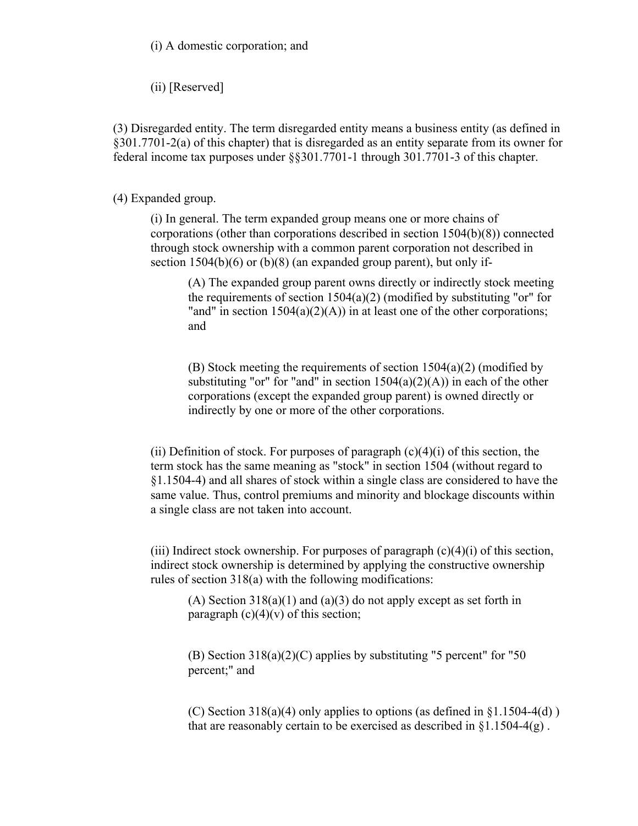(i) A domestic corporation; and

(ii) [Reserved]

(3) Disregarded entity. The term disregarded entity means a business entity (as defined in §301.7701-2(a) of this chapter) that is disregarded as an entity separate from its owner for federal income tax purposes under §§301.7701-1 through 301.7701-3 of this chapter.

(4) Expanded group.

(i) In general. The term expanded group means one or more chains of corporations (other than corporations described in section 1504(b)(8)) connected through stock ownership with a common parent corporation not described in section 1504(b)(6) or (b)(8) (an expanded group parent), but only if-

(A) The expanded group parent owns directly or indirectly stock meeting the requirements of section  $1504(a)(2)$  (modified by substituting "or" for "and" in section  $1504(a)(2)(A)$  in at least one of the other corporations; and

(B) Stock meeting the requirements of section 1504(a)(2) (modified by substituting "or" for "and" in section  $1504(a)(2)(A)$  in each of the other corporations (except the expanded group parent) is owned directly or indirectly by one or more of the other corporations.

(ii) Definition of stock. For purposes of paragraph  $(c)(4)(i)$  of this section, the term stock has the same meaning as "stock" in section 1504 (without regard to §1.1504-4) and all shares of stock within a single class are considered to have the same value. Thus, control premiums and minority and blockage discounts within a single class are not taken into account.

(iii) Indirect stock ownership. For purposes of paragraph  $(c)(4)(i)$  of this section, indirect stock ownership is determined by applying the constructive ownership rules of section 318(a) with the following modifications:

(A) Section 318(a)(1) and (a)(3) do not apply except as set forth in paragraph  $(c)(4)(v)$  of this section;

(B) Section 318(a)(2)(C) applies by substituting "5 percent" for "50 percent;" and

(C) Section  $318(a)(4)$  only applies to options (as defined in  $\S 1.1504-4(d)$ ) that are reasonably certain to be exercised as described in  $\S 1.1504-4(g)$ .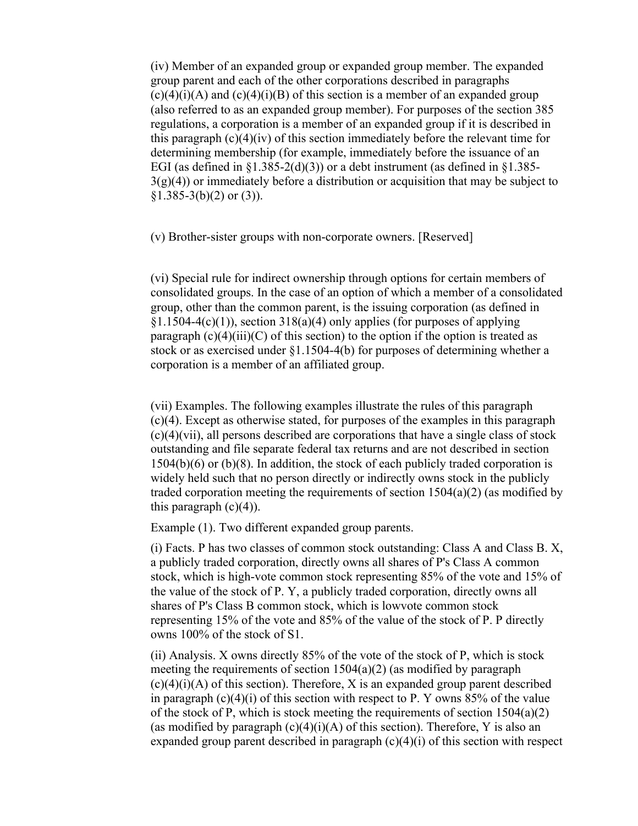(iv) Member of an expanded group or expanded group member. The expanded group parent and each of the other corporations described in paragraphs  $(c)(4)(i)(A)$  and  $(c)(4)(i)(B)$  of this section is a member of an expanded group (also referred to as an expanded group member). For purposes of the section 385 regulations, a corporation is a member of an expanded group if it is described in this paragraph (c)(4)(iv) of this section immediately before the relevant time for determining membership (for example, immediately before the issuance of an EGI (as defined in  $\S1.385-2(d)(3)$ ) or a debt instrument (as defined in  $\S1.385 3(g)(4)$ ) or immediately before a distribution or acquisition that may be subject to  $$1.385-3(b)(2)$  or  $(3)$ ).

(v) Brother-sister groups with non-corporate owners. [Reserved]

(vi) Special rule for indirect ownership through options for certain members of consolidated groups. In the case of an option of which a member of a consolidated group, other than the common parent, is the issuing corporation (as defined in  $§1.1504-4(c)(1)$ , section 318(a)(4) only applies (for purposes of applying paragraph  $(c)(4)(iii)(C)$  of this section) to the option if the option is treated as stock or as exercised under §1.1504-4(b) for purposes of determining whether a corporation is a member of an affiliated group.

(vii) Examples. The following examples illustrate the rules of this paragraph (c)(4). Except as otherwise stated, for purposes of the examples in this paragraph (c)(4)(vii), all persons described are corporations that have a single class of stock outstanding and file separate federal tax returns and are not described in section  $1504(b)(6)$  or (b)(8). In addition, the stock of each publicly traded corporation is widely held such that no person directly or indirectly owns stock in the publicly traded corporation meeting the requirements of section  $1504(a)(2)$  (as modified by this paragraph  $(c)(4)$ ).

Example (1). Two different expanded group parents.

(i) Facts. P has two classes of common stock outstanding: Class A and Class B. X, a publicly traded corporation, directly owns all shares of P's Class A common stock, which is high-vote common stock representing 85% of the vote and 15% of the value of the stock of P. Y, a publicly traded corporation, directly owns all shares of P's Class B common stock, which is lowvote common stock representing 15% of the vote and 85% of the value of the stock of P. P directly owns 100% of the stock of S1.

(ii) Analysis. X owns directly 85% of the vote of the stock of P, which is stock meeting the requirements of section 1504(a)(2) (as modified by paragraph  $(c)(4)(i)(A)$  of this section). Therefore, X is an expanded group parent described in paragraph  $(c)(4)(i)$  of this section with respect to P. Y owns 85% of the value of the stock of P, which is stock meeting the requirements of section  $1504(a)(2)$ (as modified by paragraph  $(c)(4)(i)(A)$  of this section). Therefore, Y is also an expanded group parent described in paragraph  $(c)(4)(i)$  of this section with respect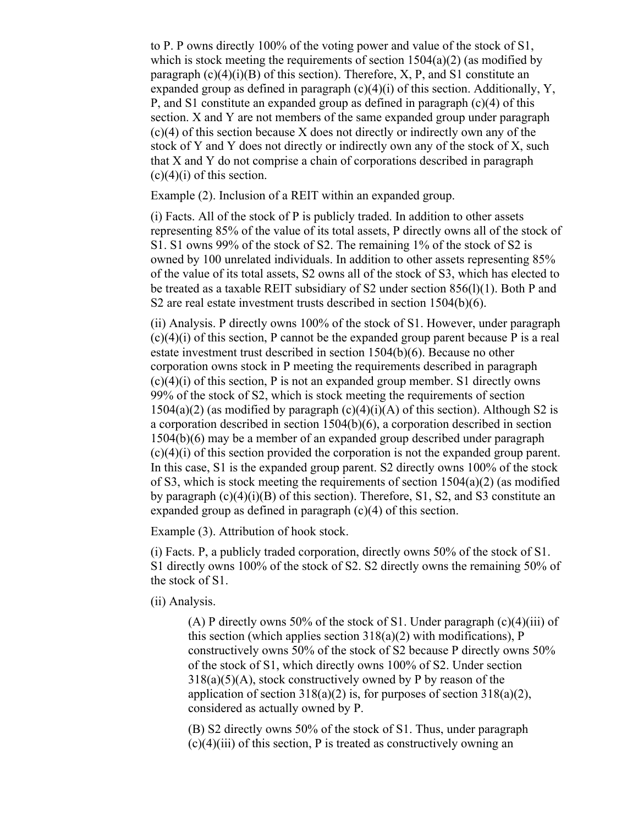to P. P owns directly 100% of the voting power and value of the stock of S1, which is stock meeting the requirements of section  $1504(a)(2)$  (as modified by paragraph  $(c)(4)(i)(B)$  of this section). Therefore, X, P, and S1 constitute an expanded group as defined in paragraph  $(c)(4)(i)$  of this section. Additionally, Y, P, and S1 constitute an expanded group as defined in paragraph (c)(4) of this section. X and Y are not members of the same expanded group under paragraph (c)(4) of this section because X does not directly or indirectly own any of the stock of Y and Y does not directly or indirectly own any of the stock of X, such that X and Y do not comprise a chain of corporations described in paragraph  $(c)(4)(i)$  of this section.

Example (2). Inclusion of a REIT within an expanded group.

(i) Facts. All of the stock of P is publicly traded. In addition to other assets representing 85% of the value of its total assets, P directly owns all of the stock of S1. S1 owns 99% of the stock of S2. The remaining 1% of the stock of S2 is owned by 100 unrelated individuals. In addition to other assets representing 85% of the value of its total assets, S2 owns all of the stock of S3, which has elected to be treated as a taxable REIT subsidiary of S2 under section 856(l)(1). Both P and S2 are real estate investment trusts described in section 1504(b)(6).

(ii) Analysis. P directly owns 100% of the stock of S1. However, under paragraph (c)(4)(i) of this section, P cannot be the expanded group parent because P is a real estate investment trust described in section 1504(b)(6). Because no other corporation owns stock in P meeting the requirements described in paragraph  $(c)(4)(i)$  of this section, P is not an expanded group member. S1 directly owns 99% of the stock of S2, which is stock meeting the requirements of section  $1504(a)(2)$  (as modified by paragraph  $(c)(4)(i)(A)$  of this section). Although S2 is a corporation described in section 1504(b)(6), a corporation described in section 1504(b)(6) may be a member of an expanded group described under paragraph (c)(4)(i) of this section provided the corporation is not the expanded group parent. In this case, S1 is the expanded group parent. S2 directly owns 100% of the stock of S3, which is stock meeting the requirements of section 1504(a)(2) (as modified by paragraph (c)(4)(i)(B) of this section). Therefore, S1, S2, and S3 constitute an expanded group as defined in paragraph (c)(4) of this section.

Example (3). Attribution of hook stock.

(i) Facts. P, a publicly traded corporation, directly owns 50% of the stock of S1. S1 directly owns 100% of the stock of S2. S2 directly owns the remaining 50% of the stock of S1.

(ii) Analysis.

(A) P directly owns 50% of the stock of S1. Under paragraph  $(c)(4)(iii)$  of this section (which applies section  $318(a)(2)$  with modifications), P constructively owns 50% of the stock of S2 because P directly owns 50% of the stock of S1, which directly owns 100% of S2. Under section  $318(a)(5)(A)$ , stock constructively owned by P by reason of the application of section  $318(a)(2)$  is, for purposes of section  $318(a)(2)$ , considered as actually owned by P.

(B) S2 directly owns 50% of the stock of S1. Thus, under paragraph  $(c)(4)(iii)$  of this section, P is treated as constructively owning an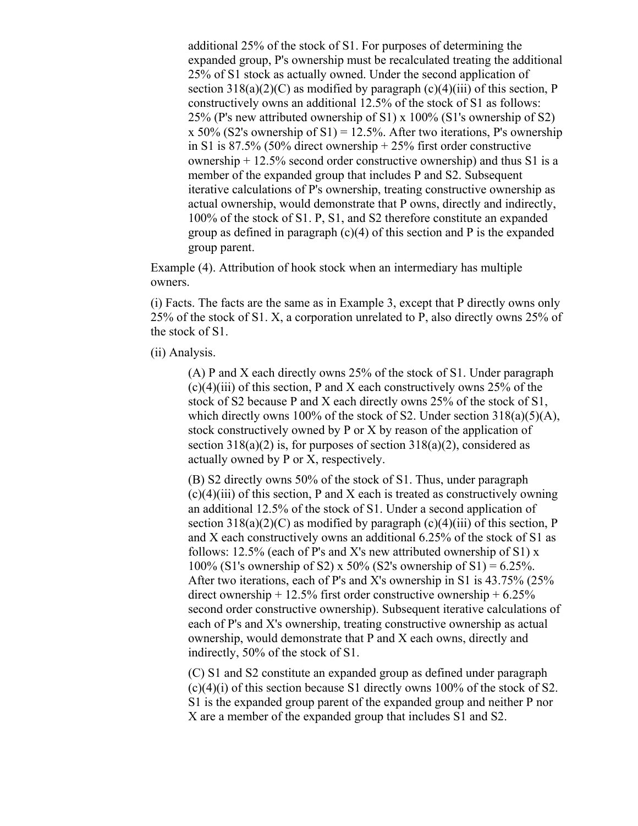additional 25% of the stock of S1. For purposes of determining the expanded group, P's ownership must be recalculated treating the additional 25% of S1 stock as actually owned. Under the second application of section  $318(a)(2)(C)$  as modified by paragraph  $(c)(4)(iii)$  of this section, P constructively owns an additional 12.5% of the stock of S1 as follows: 25% (P's new attributed ownership of S1) x 100% (S1's ownership of S2) x 50% (S2's ownership of S1) = 12.5%. After two iterations, P's ownership in S1 is 87.5% (50% direct ownership + 25% first order constructive ownership  $+ 12.5\%$  second order constructive ownership) and thus S1 is a member of the expanded group that includes P and S2. Subsequent iterative calculations of P's ownership, treating constructive ownership as actual ownership, would demonstrate that P owns, directly and indirectly, 100% of the stock of S1. P, S1, and S2 therefore constitute an expanded group as defined in paragraph  $(c)(4)$  of this section and P is the expanded group parent.

Example (4). Attribution of hook stock when an intermediary has multiple owners.

(i) Facts. The facts are the same as in Example 3, except that P directly owns only 25% of the stock of S1. X, a corporation unrelated to P, also directly owns 25% of the stock of S1.

(ii) Analysis.

(A) P and X each directly owns 25% of the stock of S1. Under paragraph  $(c)(4)(iii)$  of this section, P and X each constructively owns 25% of the stock of S2 because P and X each directly owns 25% of the stock of S1, which directly owns 100% of the stock of S2. Under section  $318(a)(5)(A)$ , stock constructively owned by P or X by reason of the application of section  $318(a)(2)$  is, for purposes of section  $318(a)(2)$ , considered as actually owned by P or X, respectively.

(B) S2 directly owns 50% of the stock of S1. Thus, under paragraph  $(c)(4)(iii)$  of this section, P and X each is treated as constructively owning an additional 12.5% of the stock of S1. Under a second application of section  $318(a)(2)(C)$  as modified by paragraph  $(c)(4)(iii)$  of this section, P and X each constructively owns an additional 6.25% of the stock of S1 as follows:  $12.5\%$  (each of P's and X's new attributed ownership of S1) x 100% (S1's ownership of S2) x 50% (S2's ownership of S1) =  $6.25\%$ . After two iterations, each of P's and X's ownership in S1 is 43.75% (25% direct ownership  $+ 12.5\%$  first order constructive ownership  $+ 6.25\%$ second order constructive ownership). Subsequent iterative calculations of each of P's and X's ownership, treating constructive ownership as actual ownership, would demonstrate that P and X each owns, directly and indirectly, 50% of the stock of S1.

(C) S1 and S2 constitute an expanded group as defined under paragraph  $(c)(4)(i)$  of this section because S1 directly owns 100% of the stock of S2. S1 is the expanded group parent of the expanded group and neither P nor X are a member of the expanded group that includes S1 and S2.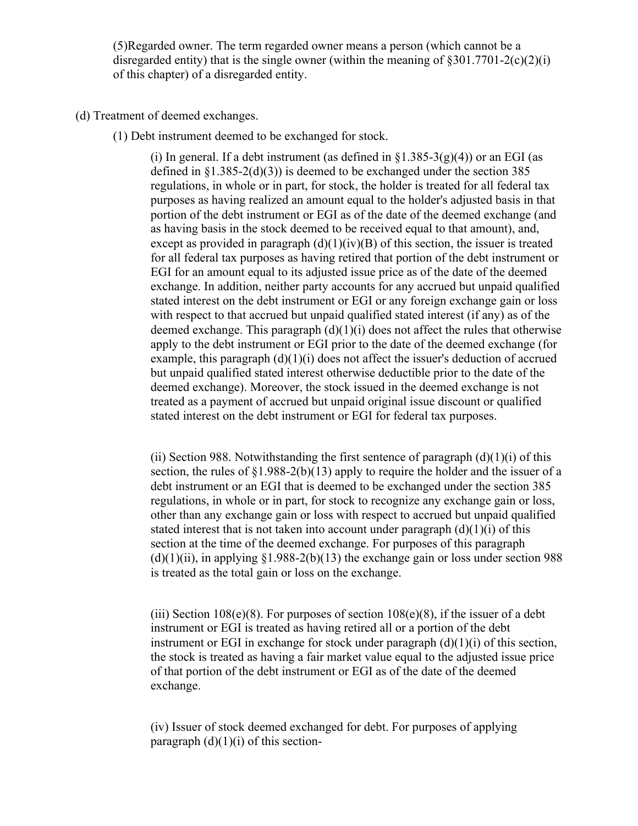(5)Regarded owner. The term regarded owner means a person (which cannot be a disregarded entity) that is the single owner (within the meaning of  $8301.7701-2(c)(2)(i)$ of this chapter) of a disregarded entity.

## (d) Treatment of deemed exchanges.

(1) Debt instrument deemed to be exchanged for stock.

(i) In general. If a debt instrument (as defined in  $\S$ 1.385-3(g)(4)) or an EGI (as defined in  $\S1.385-2(d)(3)$  is deemed to be exchanged under the section 385 regulations, in whole or in part, for stock, the holder is treated for all federal tax purposes as having realized an amount equal to the holder's adjusted basis in that portion of the debt instrument or EGI as of the date of the deemed exchange (and as having basis in the stock deemed to be received equal to that amount), and, except as provided in paragraph  $(d)(1)(iv)(B)$  of this section, the issuer is treated for all federal tax purposes as having retired that portion of the debt instrument or EGI for an amount equal to its adjusted issue price as of the date of the deemed exchange. In addition, neither party accounts for any accrued but unpaid qualified stated interest on the debt instrument or EGI or any foreign exchange gain or loss with respect to that accrued but unpaid qualified stated interest (if any) as of the deemed exchange. This paragraph  $(d)(1)(i)$  does not affect the rules that otherwise apply to the debt instrument or EGI prior to the date of the deemed exchange (for example, this paragraph  $(d)(1)(i)$  does not affect the issuer's deduction of accrued but unpaid qualified stated interest otherwise deductible prior to the date of the deemed exchange). Moreover, the stock issued in the deemed exchange is not treated as a payment of accrued but unpaid original issue discount or qualified stated interest on the debt instrument or EGI for federal tax purposes.

(ii) Section 988. Notwithstanding the first sentence of paragraph  $(d)(1)(i)$  of this section, the rules of  $\S1.988-2(b)(13)$  apply to require the holder and the issuer of a debt instrument or an EGI that is deemed to be exchanged under the section 385 regulations, in whole or in part, for stock to recognize any exchange gain or loss, other than any exchange gain or loss with respect to accrued but unpaid qualified stated interest that is not taken into account under paragraph  $(d)(1)(i)$  of this section at the time of the deemed exchange. For purposes of this paragraph  $(d)(1)(ii)$ , in applying  $(1.988-2(b)(13))$  the exchange gain or loss under section 988 is treated as the total gain or loss on the exchange.

(iii) Section  $108(e)(8)$ . For purposes of section  $108(e)(8)$ , if the issuer of a debt instrument or EGI is treated as having retired all or a portion of the debt instrument or EGI in exchange for stock under paragraph  $(d)(1)(i)$  of this section, the stock is treated as having a fair market value equal to the adjusted issue price of that portion of the debt instrument or EGI as of the date of the deemed exchange.

(iv) Issuer of stock deemed exchanged for debt. For purposes of applying paragraph  $(d)(1)(i)$  of this section